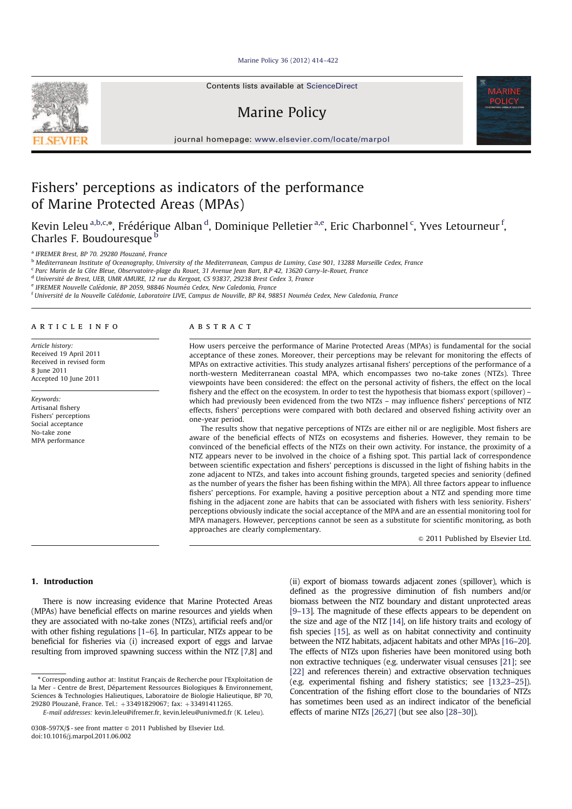Marine Policy 36 (2012) 414–422

Contents lists available at ScienceDirect





# Fishers' perceptions as indicators of the performance of Marine Protected Areas (MPAs)

Kevin Leleu <sup>a,b,c,</sup>\*, Frédérique Alban <sup>d</sup>, Dominique Pelletier <sup>a,e</sup>, Eric Charbonnel <sup>c</sup>, Yves Letourneur <sup>f</sup>, Charles F. Boudouresque b

a *IFREMER Brest, BP 70. 29280 Plouzane´, France*

<sup>b</sup> *Mediterranean Institute of Oceanography, University of the Mediterranean, Campus de Luminy, Case 901, 13288 Marseille Cedex, France*

c *Parc Marin de la Cote Bleue, Observatoire-plage du Rouet, 31 Avenue Jean Bart, B.P 42, 13620 Carry-le-Rouet, France ˆ*

<sup>d</sup> *Universite´ de Brest, UEB, UMR AMURE, 12 rue du Kergoat, CS 93837, 29238 Brest Cedex 3, France*

<sup>e</sup> IFREMER Nouvelle Calédonie, BP 2059, 98846 Nouméa Cedex, New Caledonia, France

<sup>f</sup> Université de la Nouvelle Calédonie, Laboratoire LIVE, Campus de Nouville, BP R4, 98851 Nouméa Cedex, New Caledonia, France

## a r t i c l e i n f o

*Article history:* Received 19 April 2011 Received in revised form 8 June 2011 Accepted 10 June 2011

*Keywords:* Artisanal fishery Fishers' perceptions Social acceptance No-take zone MPA performance

## A B S T R A C T

How users perceive the performance of Marine Protected Areas (MPAs) is fundamental for the social acceptance of these zones. Moreover, their perceptions may be relevant for monitoring the effects of MPAs on extractive activities. This study analyzes artisanal fishers' perceptions of the performance of a north-western Mediterranean coastal MPA, which encompasses two no-take zones (NTZs). Three viewpoints have been considered: the effect on the personal activity of fishers, the effect on the local fishery and the effect on the ecosystem. In order to test the hypothesis that biomass export (spillover) – which had previously been evidenced from the two NTZs – may influence fishers' perceptions of NTZ effects, fishers' perceptions were compared with both declared and observed fishing activity over an one-year period.

The results show that negative perceptions of NTZs are either nil or are negligible. Most fishers are aware of the beneficial effects of NTZs on ecosystems and fisheries. However, they remain to be convinced of the beneficial effects of the NTZs on their own activity. For instance, the proximity of a NTZ appears never to be involved in the choice of a fishing spot. This partial lack of correspondence between scientific expectation and fishers' perceptions is discussed in the light of fishing habits in the zone adjacent to NTZs, and takes into account fishing grounds, targeted species and seniority (defined as the number of years the fisher has been fishing within the MPA). All three factors appear to influence fishers' perceptions. For example, having a positive perception about a NTZ and spending more time fishing in the adjacent zone are habits that can be associated with fishers with less seniority. Fishers' perceptions obviously indicate the social acceptance of the MPA and are an essential monitoring tool for MPA managers. However, perceptions cannot be seen as a substitute for scientific monitoring, as both approaches are clearly complementary.

 $@$  2011 Published by Elsevier Ltd.

# 1. Introduction

There is now increasing evidence that Marine Protected Areas (MPAs) have beneficial effects on marine resources and yields when they are associated with no-take zones (NTZs), artificial reefs and/or with other fishing regulations [1–6]. In particular, NTZs appear to be beneficial for fisheries via (i) increased export of eggs and larvae resulting from improved spawning success within the NTZ [7,8] and (ii) export of biomass towards adjacent zones (spillover), which is defined as the progressive diminution of fish numbers and/or biomass between the NTZ boundary and distant unprotected areas [9–13]. The magnitude of these effects appears to be dependent on the size and age of the NTZ [14], on life history traits and ecology of fish species [15], as well as on habitat connectivity and continuity between the NTZ habitats, adjacent habitats and other MPAs [16–20]. The effects of NTZs upon fisheries have been monitored using both non extractive techniques (e.g. underwater visual censuses [21]; see [22] and references therein) and extractive observation techniques (e.g. experimental fishing and fishery statistics; see [13,23–25]). Concentration of the fishing effort close to the boundaries of NTZs has sometimes been used as an indirect indicator of the beneficial effects of marine NTZs [26,27] (but see also [28–30]).





<sup>\*</sup> Corresponding author at: Institut Français de Recherche pour l'Exploitation de<br>Mer - Contre de Prest, Département Pesseurese Pielegiques & Environnement la Mer - Centre de Brest, Département Ressources Biologiques & Environnement, Sciences & Technologies Halieutiques, Laboratoire de Biologie Halieutique, BP 70, 29280 Plouzané, France. Tel.: +33491829067; fax: +33491411265.

*E-mail addresses:* kevin.leleu@ifremer.fr, kevin.leleu@univmed.fr (K. Leleu).

<sup>0308-597</sup>X/\$ - see front matter  $\circ$  2011 Published by Elsevier Ltd. doi:10.1016/j.marpol.2011.06.002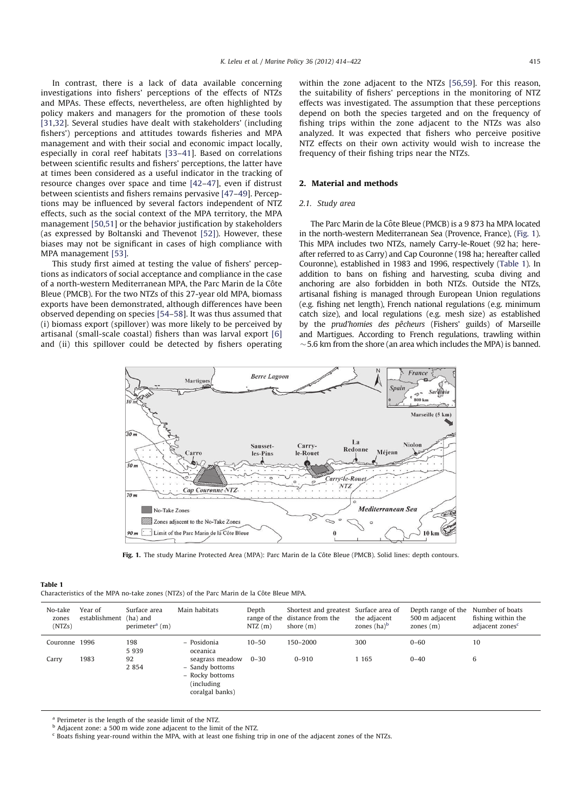In contrast, there is a lack of data available concerning investigations into fishers' perceptions of the effects of NTZs and MPAs. These effects, nevertheless, are often highlighted by policy makers and managers for the promotion of these tools [31,32]. Several studies have dealt with stakeholders' (including fishers') perceptions and attitudes towards fisheries and MPA management and with their social and economic impact locally, especially in coral reef habitats [33–41]. Based on correlations between scientific results and fishers' perceptions, the latter have at times been considered as a useful indicator in the tracking of resource changes over space and time [42–47], even if distrust between scientists and fishers remains pervasive [47–49]. Perceptions may be influenced by several factors independent of NTZ effects, such as the social context of the MPA territory, the MPA management [50,51] or the behavior justification by stakeholders (as expressed by Boltanski and Thevenot [52]). However, these biases may not be significant in cases of high compliance with MPA management [53].

This study first aimed at testing the value of fishers' perceptions as indicators of social acceptance and compliance in the case of a north-western Mediterranean MPA, the Parc Marin de la Côte Bleue (PMCB). For the two NTZs of this 27-year old MPA, biomass exports have been demonstrated, although differences have been observed depending on species [54–58]. It was thus assumed that (i) biomass export (spillover) was more likely to be perceived by artisanal (small-scale coastal) fishers than was larval export [6] and (ii) this spillover could be detected by fishers operating

within the zone adiacent to the NTZs [56,59]. For this reason, the suitability of fishers' perceptions in the monitoring of NTZ effects was investigated. The assumption that these perceptions depend on both the species targeted and on the frequency of fishing trips within the zone adjacent to the NTZs was also analyzed. It was expected that fishers who perceive positive NTZ effects on their own activity would wish to increase the frequency of their fishing trips near the NTZs.

## 2. Material and methods

## *2.1. Study area*

The Parc Marin de la Côte Bleue (PMCB) is a 9 873 ha MPA located in the north-western Mediterranean Sea (Provence, France), (Fig. 1). This MPA includes two NTZs, namely Carry-le-Rouet (92 ha; hereafter referred to as Carry) and Cap Couronne (198 ha; hereafter called Couronne), established in 1983 and 1996, respectively (Table 1). In addition to bans on fishing and harvesting, scuba diving and anchoring are also forbidden in both NTZs. Outside the NTZs, artisanal fishing is managed through European Union regulations (e.g. fishing net length), French national regulations (e.g. minimum catch size), and local regulations (e.g. mesh size) as established by the *prud'homies des pêcheurs* (Fishers' guilds) of Marseille and Martigues. According to French regulations, trawling within  $\sim$  5.6 km from the shore (an area which includes the MPA) is banned.



Fig. 1. The study Marine Protected Area (MPA): Parc Marin de la Côte Bleue (PMCB). Solid lines: depth contours.

| Table 1                                                                                 |  |
|-----------------------------------------------------------------------------------------|--|
| Characteristics of the MPA no-take zones (NTZs) of the Parc Marin de la Côte Bleue MPA. |  |

| No-take<br>zones<br>(NTZs) | Year of<br>establishment | Surface area<br>(ha) and<br>perimeter <sup>a</sup> $(m)$ | Main habitats                                                                           | Depth<br>NTZ(m) | Shortest and greatest Surface area of<br>range of the distance from the<br>shore $(m)$ | the adjacent<br>zones $(ha)^b$ | Depth range of the<br>500 m adjacent<br>zones $(m)$ | Number of boats<br>fishing within the<br>adjacent zones <sup>c</sup> |
|----------------------------|--------------------------|----------------------------------------------------------|-----------------------------------------------------------------------------------------|-----------------|----------------------------------------------------------------------------------------|--------------------------------|-----------------------------------------------------|----------------------------------------------------------------------|
| Couronne                   | 1996                     | 198<br>5939                                              | - Posidonia<br>oceanica                                                                 | $10 - 50$       | 150-2000                                                                               | 300                            | $0 - 60$                                            | 10                                                                   |
| Carry                      | 1983                     | 92<br>2 8 5 4                                            | seagrass meadow<br>- Sandy bottoms<br>- Rocky bottoms<br>(including)<br>coralgal banks) | $0 - 30$        | $0 - 910$                                                                              | 1 1 6 5                        | $0 - 40$                                            | 6                                                                    |

<sup>a</sup> Perimeter is the length of the seaside limit of the NTZ.

 $<sup>b</sup>$  Adjacent zone: a 500 m wide zone adjacent to the limit of the NTZ.</sup>

<sup>c</sup> Boats fishing year-round within the MPA, with at least one fishing trip in one of the adjacent zones of the NTZs.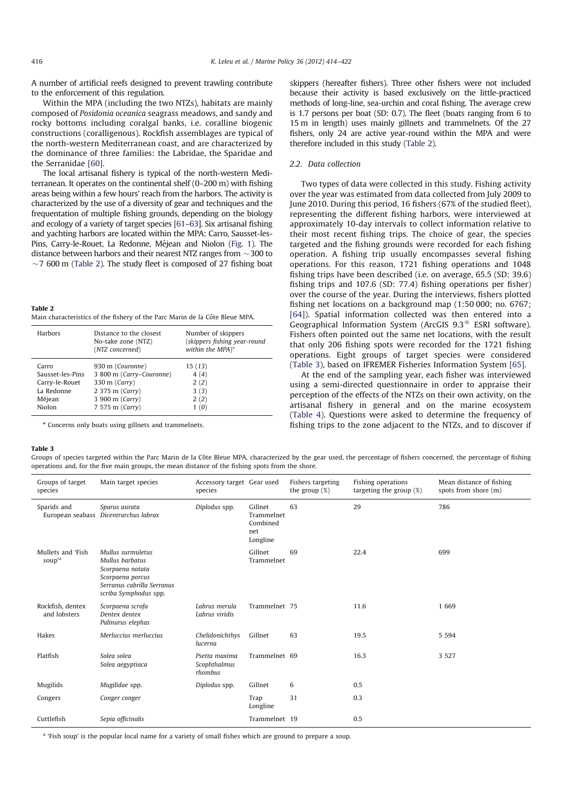A number of artificial reefs designed to prevent trawling contribute to the enforcement of this regulation.

Within the MPA (including the two NTZs), habitats are mainly composed of *Posidonia oceanica* seagrass meadows, and sandy and rocky bottoms including coralgal banks, i.e. coralline biogenic constructions (coralligenous). Rockfish assemblages are typical of the north-western Mediterranean coast, and are characterized by the dominance of three families: the Labridae, the Sparidae and the Serranidae [60].

The local artisanal fishery is typical of the north-western Mediterranean. It operates on the continental shelf (0–200 m) with fishing areas being within a few hours' reach from the harbors. The activity is characterized by the use of a diversity of gear and techniques and the frequentation of multiple fishing grounds, depending on the biology and ecology of a variety of target species [61–63]. Six artisanal fishing and yachting harbors are located within the MPA: Carro, Sausset-les-Pins, Carry-le-Rouet, La Redonne, Méjean and Niolon (Fig. 1). The distance between harbors and their nearest NTZ ranges from  $\sim$  300 to  $\sim$  7 600 m (Table 2). The study fleet is composed of 27 fishing boat

| Table 2 |                                                                             |  |  |  |  |  |
|---------|-----------------------------------------------------------------------------|--|--|--|--|--|
|         | Main characteristics of the fishery of the Parc Marin de la Côte Bleue MPA. |  |  |  |  |  |

| <b>Harbors</b>   | Distance to the closest<br>No-take zone (NTZ)<br>(NTZ concerned) | Number of skippers<br>(skippers fishing year-round<br>within the MPA)* |
|------------------|------------------------------------------------------------------|------------------------------------------------------------------------|
| Carro            | 930 m (Couronne)                                                 | 15 (13)                                                                |
| Sausset-les-Pins | 3 800 m (Carry-Couronne)                                         | 4(4)                                                                   |
| Carry-le-Rouet   | 330 m $(Carry)$                                                  | 2(2)                                                                   |
| La Redonne       | 2 375 m (Carry)                                                  | 3(3)                                                                   |
| Méjean           | 3 900 m (Carry)                                                  | 2(2)                                                                   |
| Niolon           | 7 575 m (Carry)                                                  | 1(0)                                                                   |

n Concerns only boats using gillnets and trammelnets.

#### Table 3

 $\sim$  22.  $\sim$ 

Groups of species targeted within the Parc Marin de la Côte Bleue MPA, characterized by the gear used, the percentage of fishers concerned, the percentage of fishing operations and, for the five main groups, the mean distance of the fishing spots from the shore.

| Groups of target<br>species             | Main target species                                                                                                                 | Accessory target Gear used<br>species    |                                                      | Fishers targeting<br>the group $(\%)$ | Fishing operations<br>targeting the group $(\%)$ | Mean distance of fishing<br>spots from shore (m) |
|-----------------------------------------|-------------------------------------------------------------------------------------------------------------------------------------|------------------------------------------|------------------------------------------------------|---------------------------------------|--------------------------------------------------|--------------------------------------------------|
| Sparids and                             | Sparus aurata<br>European seabass Dicentrarchus labrax                                                                              | Diplodus spp.                            | Gillnet<br>Trammelnet<br>Combined<br>net<br>Longline | 63                                    | 29                                               | 786                                              |
| Mullets and 'Fish<br>soup' <sup>a</sup> | Mullus surmuletus<br>Mullus barbatus<br>Scorpaena notata<br>Scorpaena porcus<br>Serranus cabrilla Serranus<br>scriba Symphodus spp. |                                          | Gillnet<br>Trammelnet                                | 69                                    | 22.4                                             | 699                                              |
| Rockfish, dentex<br>and lobsters        | Scorpaena scrofa<br>Dentex dentex<br>Palinurus elephas                                                                              | Labrus merula<br>Labrus viridis          | Trammelnet 75                                        |                                       | 11.6                                             | 1 6 6 9                                          |
| Hakes                                   | Merluccius merluccius                                                                                                               | Chelidonichthys<br>lucerna               | Gillnet                                              | 63                                    | 19.5                                             | 5 5 9 4                                          |
| Flatfish                                | Solea solea<br>Solea aegyptiaca                                                                                                     | Psetta maxima<br>Scophthalmus<br>rhombus | Trammelnet 69                                        |                                       | 16.3                                             | 3 5 2 7                                          |
| Mugilids                                | Mugilidae spp.                                                                                                                      | Diplodus spp.                            | Gillnet                                              | 6                                     | 0.5                                              |                                                  |
| Congers                                 | Conger conger                                                                                                                       |                                          | Trap<br>Longline                                     | 31                                    | 0.3                                              |                                                  |
| Cuttlefish                              | Sepia officinalis                                                                                                                   |                                          | Trammelnet 19                                        |                                       | 0.5                                              |                                                  |

a 'Fish soup' is the popular local name for a variety of small fishes which are ground to prepare a soup.

skippers (hereafter fishers). Three other fishers were not included because their activity is based exclusively on the little-practiced methods of long-line, sea-urchin and coral fishing. The average crew is 1.7 persons per boat (SD: 0.7). The fleet (boats ranging from 6 to 15 m in length) uses mainly gillnets and trammelnets. Of the 27 fishers, only 24 are active year-round within the MPA and were therefore included in this study (Table 2).

## *2.2. Data collection*

Two types of data were collected in this study. Fishing activity over the year was estimated from data collected from July 2009 to June 2010. During this period, 16 fishers (67% of the studied fleet), representing the different fishing harbors, were interviewed at approximately 10-day intervals to collect information relative to their most recent fishing trips. The choice of gear, the species targeted and the fishing grounds were recorded for each fishing operation. A fishing trip usually encompasses several fishing operations. For this reason, 1721 fishing operations and 1048 fishing trips have been described (i.e. on average, 65.5 (SD: 39.6) fishing trips and 107.6 (SD: 77.4) fishing operations per fisher) over the course of the year. During the interviews, fishers plotted fishing net locations on a background map (1:50 000; no. 6767; [64]). Spatial information collected was then entered into a Geographical Information System (ArcGIS  $9.3^{\circledR}$  ESRI software). Fishers often pointed out the same net locations, with the result that only 206 fishing spots were recorded for the 1721 fishing operations. Eight groups of target species were considered (Table 3), based on IFREMER Fisheries Information System [65].

At the end of the sampling year, each fisher was interviewed using a semi-directed questionnaire in order to appraise their perception of the effects of the NTZs on their own activity, on the artisanal fishery in general and on the marine ecosystem (Table 4). Questions were asked to determine the frequency of fishing trips to the zone adjacent to the NTZs, and to discover if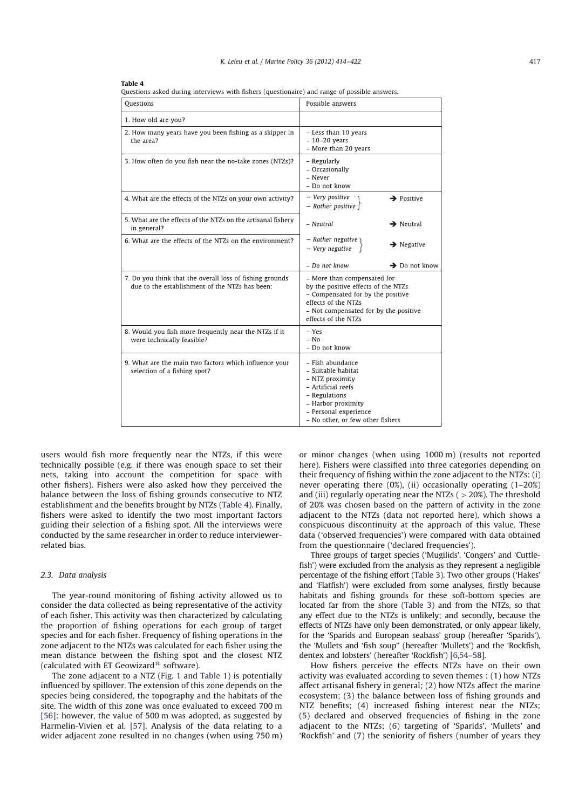#### *K. Leleu et al. / Marine Policy 36 (2012) 414–422* 417

|  | - 1 | л. | ۱ |
|--|-----|----|---|
|  |     |    |   |

 $\overline{\mathbf{4}}$ 

| Questions asked during interviews with fishers (questionaire) and range of possible answers. |  |  |  |  |  |  |  |  |
|----------------------------------------------------------------------------------------------|--|--|--|--|--|--|--|--|
|----------------------------------------------------------------------------------------------|--|--|--|--|--|--|--|--|

| Ouestions                                                                                                  | Possible answers                                                                                                                                                                               |  |  |  |  |
|------------------------------------------------------------------------------------------------------------|------------------------------------------------------------------------------------------------------------------------------------------------------------------------------------------------|--|--|--|--|
| 1. How old are you?                                                                                        |                                                                                                                                                                                                |  |  |  |  |
| 2. How many years have you been fishing as a skipper in<br>the area?                                       | - Less than 10 years<br>$-10-20$ years<br>- More than 20 years                                                                                                                                 |  |  |  |  |
| 3. How often do you fish near the no-take zones (NTZs)?                                                    | - Regularly<br>- Occasionally<br>- Never<br>- Do not know                                                                                                                                      |  |  |  |  |
| 4. What are the effects of the NTZs on your own activity?                                                  | - Very positive<br>$\rightarrow$ Positive<br>$-$ Rather positive $\int$                                                                                                                        |  |  |  |  |
| 5. What are the effects of the NTZs on the artisanal fishery<br>in general?                                | - Neutral<br>$\rightarrow$ Neutral                                                                                                                                                             |  |  |  |  |
| 6. What are the effects of the NTZs on the environment?                                                    | $-$ Rather negative<br>$\rightarrow$ Negative<br>- Very negative                                                                                                                               |  |  |  |  |
|                                                                                                            | - Do not know<br>$\rightarrow$ Do not know                                                                                                                                                     |  |  |  |  |
| 7. Do you think that the overall loss of fishing grounds<br>due to the establishment of the NTZs has been: | - More than compensated for<br>by the positive effects of the NTZs<br>- Compensated for by the positive<br>effects of the NTZs<br>- Not compensated for by the positive<br>effects of the NTZs |  |  |  |  |
| 8. Would you fish more frequently near the NTZs if it<br>were technically feasible?                        | – Yes<br>– No<br>- Do not know                                                                                                                                                                 |  |  |  |  |
| 9. What are the main two factors which influence your<br>selection of a fishing spot?                      | - Fish abundance<br>- Suitable habitat<br>- NTZ proximity<br>- Artificial reefs<br>- Regulations<br>- Harbor proximity<br>- Personal experience<br>- No other, or few other fishers            |  |  |  |  |

users would fish more frequently near the NTZs, if this were technically possible (e.g. if there was enough space to set their nets, taking into account the competition for space with other fishers). Fishers were also asked how they perceived the balance between the loss of fishing grounds consecutive to NTZ establishment and the benefits brought by NTZs (Table 4). Finally, fishers were asked to identify the two most important factors guiding their selection of a fishing spot. All the interviews were conducted by the same researcher in order to reduce interviewerrelated bias.

## *2.3. Data analysis*

The year-round monitoring of fishing activity allowed us to consider the data collected as being representative of the activity of each fisher. This activity was then characterized by calculating the proportion of fishing operations for each group of target species and for each fisher. Frequency of fishing operations in the zone adjacent to the NTZs was calculated for each fisher using the mean distance between the fishing spot and the closest NTZ (calculated with ET Geowizard $^{\circledR}$  software).

The zone adjacent to a NTZ (Fig. 1 and Table 1) is potentially influenced by spillover. The extension of this zone depends on the species being considered, the topography and the habitats of the site. The width of this zone was once evaluated to exceed 700 m [56]: however, the value of 500 m was adopted, as suggested by Harmelin-Vivien et al. [57]. Analysis of the data relating to a wider adjacent zone resulted in no changes (when using 750 m) or minor changes (when using 1000 m) (results not reported here). Fishers were classified into three categories depending on their frequency of fishing within the zone adjacent to the NTZs: (i) never operating there (0%), (ii) occasionally operating (1–20%) and (iii) regularly operating near the NTZs ( $>$  20%). The threshold of 20% was chosen based on the pattern of activity in the zone adjacent to the NTZs (data not reported here), which shows a conspicuous discontinuity at the approach of this value. These data ('observed frequencies') were compared with data obtained from the questionnaire ('declared frequencies').

Three groups of target species ('Mugilids', 'Congers' and 'Cuttlefish') were excluded from the analysis as they represent a negligible percentage of the fishing effort (Table 3). Two other groups ('Hakes' and 'Flatfish') were excluded from some analyses, firstly because habitats and fishing grounds for these soft-bottom species are located far from the shore (Table 3) and from the NTZs, so that any effect due to the NTZs is unlikely; and secondly, because the effects of NTZs have only been demonstrated, or only appear likely, for the 'Sparids and European seabass' group (hereafter 'Sparids'), the 'Mullets and 'fish soup'' (hereafter 'Mullets') and the 'Rockfish, dentex and lobsters' (hereafter 'Rockfish') [6,54–58].

How fishers perceive the effects NTZs have on their own activity was evaluated according to seven themes : (1) how NTZs affect artisanal fishery in general; (2) how NTZs affect the marine ecosystem; (3) the balance between loss of fishing grounds and NTZ benefits; (4) increased fishing interest near the NTZs; (5) declared and observed frequencies of fishing in the zone adjacent to the NTZs; (6) targeting of 'Sparids', 'Mullets' and 'Rockfish' and (7) the seniority of fishers (number of years they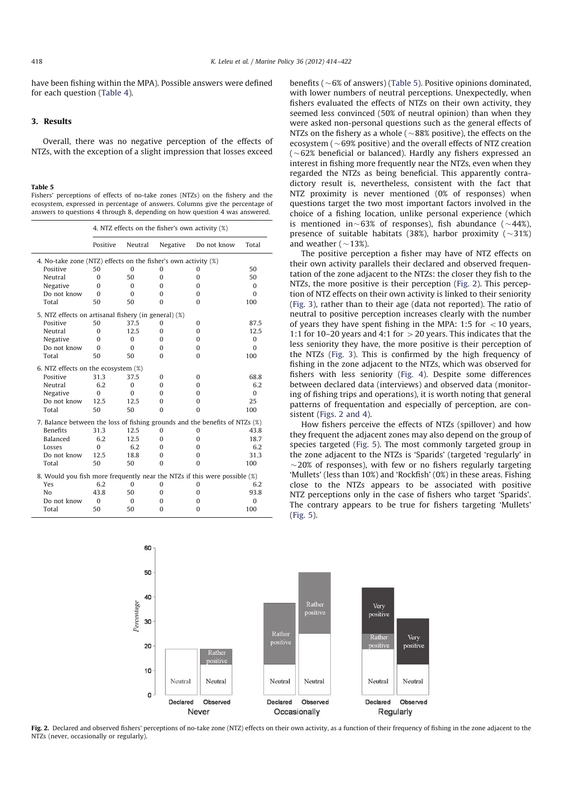have been fishing within the MPA). Possible answers were defined for each question (Table 4).

# 3. Results

Overall, there was no negative perception of the effects of NTZs, with the exception of a slight impression that losses exceed

## Table 5

Fishers' perceptions of effects of no-take zones (NTZs) on the fishery and the ecosystem, expressed in percentage of answers. Columns give the percentage of answers to questions 4 through 8, depending on how question 4 was answered.

|                                                                             | 4. NTZ effects on the fisher's own activity (%) |          |          |             |          |  |  |  |
|-----------------------------------------------------------------------------|-------------------------------------------------|----------|----------|-------------|----------|--|--|--|
|                                                                             | Positive                                        | Neutral  | Negative | Do not know | Total    |  |  |  |
| 4. No-take zone (NTZ) effects on the fisher's own activity (%)              |                                                 |          |          |             |          |  |  |  |
| Positive                                                                    | 50                                              | $\Omega$ | O        | 0           | 50       |  |  |  |
| Neutral                                                                     | 0                                               | 50       | $\Omega$ | $\Omega$    | 50       |  |  |  |
| Negative                                                                    | 0                                               | $\Omega$ | $\Omega$ | $\Omega$    | 0        |  |  |  |
| Do not know                                                                 | o                                               | 0        | O        | o           | o        |  |  |  |
| Total                                                                       | 50                                              | 50       | $\Omega$ | $\Omega$    | 100      |  |  |  |
| 5. NTZ effects on artisanal fishery (in general) (%)                        |                                                 |          |          |             |          |  |  |  |
| Positive                                                                    | 50                                              | 37.5     | $\Omega$ | 0           | 87.5     |  |  |  |
| Neutral                                                                     | 0                                               | 12.5     | $\Omega$ | 0           | 12.5     |  |  |  |
| Negative                                                                    | 0                                               | $\Omega$ | $\Omega$ | 0           | $\Omega$ |  |  |  |
| Do not know                                                                 | 0                                               | $\Omega$ | $\Omega$ | $\Omega$    | 0        |  |  |  |
| Total                                                                       | 50                                              | 50       | $\Omega$ | $\Omega$    | 100      |  |  |  |
| 6. NTZ effects on the ecosystem (%)                                         |                                                 |          |          |             |          |  |  |  |
| Positive                                                                    | 31.3                                            | 375      | 0        | 0           | 68.8     |  |  |  |
| Neutral                                                                     | 6.2                                             | 0        | 0        | o           | 6.2      |  |  |  |
| Negative                                                                    | 0                                               | 0        | $\Omega$ | $\Omega$    | $\Omega$ |  |  |  |
| Do not know                                                                 | 12.5                                            | 12.5     | $\Omega$ | $\Omega$    | 25       |  |  |  |
| Total                                                                       | 50                                              | 50       | O        | O           | 100      |  |  |  |
| 7. Balance between the loss of fishing grounds and the benefits of NTZs (%) |                                                 |          |          |             |          |  |  |  |
| <b>Benefits</b>                                                             | 31.3                                            | 12.5     | $\Omega$ | $\Omega$    | 43.8     |  |  |  |
| Balanced                                                                    | 6.2                                             | 12.5     | $\Omega$ | $\Omega$    | 18.7     |  |  |  |
| Losses                                                                      | $\Omega$                                        | 6.2      | $\Omega$ | 0           | 6.2      |  |  |  |
| Do not know                                                                 | 12.5                                            | 188      | $\Omega$ | $\Omega$    | 31.3     |  |  |  |
| Total                                                                       | 50                                              | 50       | O        | O           | 100      |  |  |  |
| 8. Would you fish more frequently near the NTZs if this were possible (%)   |                                                 |          |          |             |          |  |  |  |
| Yes                                                                         | 6.2                                             | $\Omega$ | $\Omega$ | $\Omega$    | 6.2      |  |  |  |
| Nο                                                                          | 43.8                                            | 50       | $\Omega$ | $\Omega$    | 93.8     |  |  |  |
| Do not know                                                                 | $\Omega$                                        | 0        | 0        | 0           | $\Omega$ |  |  |  |
| Total                                                                       | 50                                              | 50       | O        | o           | 100      |  |  |  |

benefits ( $\sim$  6% of answers) (Table 5). Positive opinions dominated, with lower numbers of neutral perceptions. Unexpectedly, when fishers evaluated the effects of NTZs on their own activity, they seemed less convinced (50% of neutral opinion) than when they were asked non-personal questions such as the general effects of NTZs on the fishery as a whole ( $\sim$ 88% positive), the effects on the ecosystem ( $\sim$  69% positive) and the overall effects of NTZ creation  $(\sim62\%$  beneficial or balanced). Hardly any fishers expressed an interest in fishing more frequently near the NTZs, even when they regarded the NTZs as being beneficial. This apparently contradictory result is, nevertheless, consistent with the fact that NTZ proximity is never mentioned (0% of responses) when questions target the two most important factors involved in the choice of a fishing location, unlike personal experience (which is mentioned in $\sim$  63% of responses), fish abundance ( $\sim$  44%), presence of suitable habitats (38%), harbor proximity ( $\sim$ 31%) and weather ( $\sim$ 13%).

The positive perception a fisher may have of NTZ effects on their own activity parallels their declared and observed frequentation of the zone adjacent to the NTZs: the closer they fish to the NTZs, the more positive is their perception (Fig. 2). This perception of NTZ effects on their own activity is linked to their seniority (Fig. 3), rather than to their age (data not reported). The ratio of neutral to positive perception increases clearly with the number of years they have spent fishing in the MPA: 1:5 for  $<$  10 years, 1:1 for 10–20 years and 4:1 for  $>$  20 years. This indicates that the less seniority they have, the more positive is their perception of the NTZs (Fig. 3). This is confirmed by the high frequency of fishing in the zone adjacent to the NTZs, which was observed for fishers with less seniority (Fig. 4). Despite some differences between declared data (interviews) and observed data (monitoring of fishing trips and operations), it is worth noting that general patterns of frequentation and especially of perception, are consistent (Figs. 2 and 4).

How fishers perceive the effects of NTZs (spillover) and how they frequent the adjacent zones may also depend on the group of species targeted (Fig. 5). The most commonly targeted group in the zone adjacent to the NTZs is 'Sparids' (targeted 'regularly' in  $\sim$  20% of responses), with few or no fishers regularly targeting 'Mullets' (less than 10%) and 'Rockfish' (0%) in these areas. Fishing close to the NTZs appears to be associated with positive NTZ perceptions only in the case of fishers who target 'Sparids'. The contrary appears to be true for fishers targeting 'Mullets' (Fig. 5).



Fig. 2. Declared and observed fishers' perceptions of no-take zone (NTZ) effects on their own activity, as a function of their frequency of fishing in the zone adjacent to the NTZs (never, occasionally or regularly).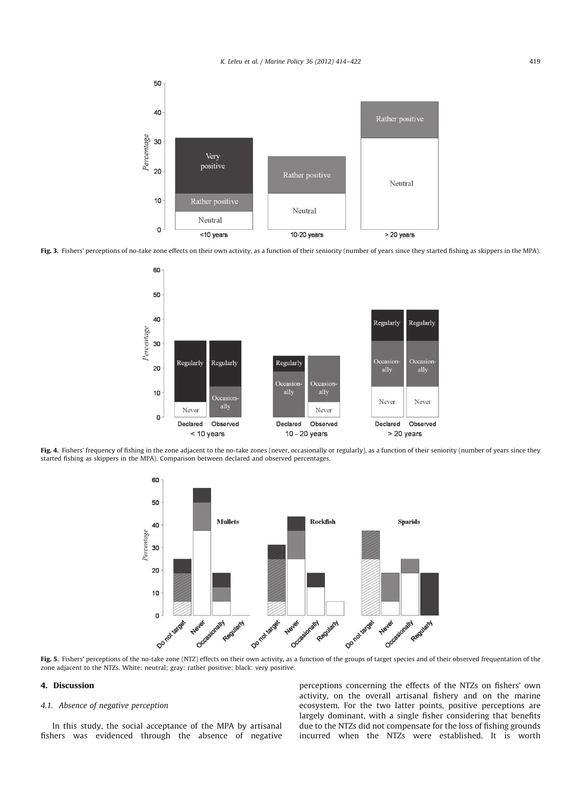

Fig. 3. Fishers' perceptions of no-take zone effects on their own activity, as a function of their seniority (number of years since they started fishing as skippers in the MPA).



Fig. 4. Fishers' frequency of fishing in the zone adjacent to the no-take zones (never, occasionally or regularly), as a function of their seniority (number of years since they started fishing as skippers in the MPA). Comparison between declared and observed percentages.



Fig. 5. Fishers' perceptions of the no-take zone (NTZ) effects on their own activity, as a function of the groups of target species and of their observed frequentation of the zone adjacent to the NTZs. White: neutral; gray: rather positive; black: very positive.

## 4. Discussion

## *4.1. Absence of negative perception*

In this study, the social acceptance of the MPA by artisanal fishers was evidenced through the absence of negative perceptions concerning the effects of the NTZs on fishers' own activity, on the overall artisanal fishery and on the marine ecosystem. For the two latter points, positive perceptions are largely dominant, with a single fisher considering that benefits due to the NTZs did not compensate for the loss of fishing grounds incurred when the NTZs were established. It is worth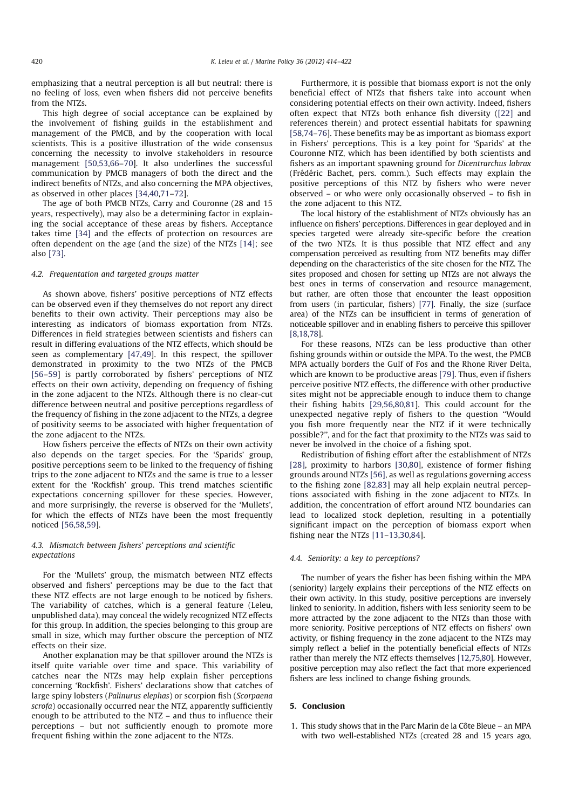emphasizing that a neutral perception is all but neutral: there is no feeling of loss, even when fishers did not perceive benefits from the NTZs.

This high degree of social acceptance can be explained by the involvement of fishing guilds in the establishment and management of the PMCB, and by the cooperation with local scientists. This is a positive illustration of the wide consensus concerning the necessity to involve stakeholders in resource management [50,53,66–70]. It also underlines the successful communication by PMCB managers of both the direct and the indirect benefits of NTZs, and also concerning the MPA objectives, as observed in other places [34,40,71–72].

The age of both PMCB NTZs, Carry and Couronne (28 and 15 years, respectively), may also be a determining factor in explaining the social acceptance of these areas by fishers. Acceptance takes time [34] and the effects of protection on resources are often dependent on the age (and the size) of the NTZs [14]; see also [73].

## *4.2. Frequentation and targeted groups matter*

As shown above, fishers' positive perceptions of NTZ effects can be observed even if they themselves do not report any direct benefits to their own activity. Their perceptions may also be interesting as indicators of biomass exportation from NTZs. Differences in field strategies between scientists and fishers can result in differing evaluations of the NTZ effects, which should be seen as complementary [47,49]. In this respect, the spillover demonstrated in proximity to the two NTZs of the PMCB [56–59] is partly corroborated by fishers' perceptions of NTZ effects on their own activity, depending on frequency of fishing in the zone adjacent to the NTZs. Although there is no clear-cut difference between neutral and positive perceptions regardless of the frequency of fishing in the zone adjacent to the NTZs, a degree of positivity seems to be associated with higher frequentation of the zone adjacent to the NTZs.

How fishers perceive the effects of NTZs on their own activity also depends on the target species. For the 'Sparids' group, positive perceptions seem to be linked to the frequency of fishing trips to the zone adjacent to NTZs and the same is true to a lesser extent for the 'Rockfish' group. This trend matches scientific expectations concerning spillover for these species. However, and more surprisingly, the reverse is observed for the 'Mullets', for which the effects of NTZs have been the most frequently noticed [56,58,59].

# *4.3. Mismatch between fishers' perceptions and scientific expectations*

For the 'Mullets' group, the mismatch between NTZ effects observed and fishers' perceptions may be due to the fact that these NTZ effects are not large enough to be noticed by fishers. The variability of catches, which is a general feature (Leleu, unpublished data), may conceal the widely recognized NTZ effects for this group. In addition, the species belonging to this group are small in size, which may further obscure the perception of NTZ effects on their size.

Another explanation may be that spillover around the NTZs is itself quite variable over time and space. This variability of catches near the NTZs may help explain fisher perceptions concerning 'Rockfish'. Fishers' declarations show that catches of large spiny lobsters (*Palinurus elephas*) or scorpion fish (*Scorpaena scrofa*) occasionally occurred near the NTZ, apparently sufficiently enough to be attributed to the NTZ – and thus to influence their perceptions – but not sufficiently enough to promote more frequent fishing within the zone adjacent to the NTZs.

Furthermore, it is possible that biomass export is not the only beneficial effect of NTZs that fishers take into account when considering potential effects on their own activity. Indeed, fishers often expect that NTZs both enhance fish diversity ([22] and references therein) and protect essential habitats for spawning [58,74–76]. These benefits may be as important as biomass export in Fishers' perceptions. This is a key point for 'Sparids' at the Couronne NTZ, which has been identified by both scientists and fishers as an important spawning ground for *Dicentrarchus labrax* (Frédéric Bachet, pers. comm.). Such effects may explain the positive perceptions of this NTZ by fishers who were never observed – or who were only occasionally observed – to fish in the zone adjacent to this NTZ.

The local history of the establishment of NTZs obviously has an influence on fishers' perceptions. Differences in gear deployed and in species targeted were already site-specific before the creation of the two NTZs. It is thus possible that NTZ effect and any compensation perceived as resulting from NTZ benefits may differ depending on the characteristics of the site chosen for the NTZ. The sites proposed and chosen for setting up NTZs are not always the best ones in terms of conservation and resource management, but rather, are often those that encounter the least opposition from users (in particular, fishers) [77]. Finally, the size (surface area) of the NTZs can be insufficient in terms of generation of noticeable spillover and in enabling fishers to perceive this spillover [8,18,78].

For these reasons, NTZs can be less productive than other fishing grounds within or outside the MPA. To the west, the PMCB MPA actually borders the Gulf of Fos and the Rhone River Delta, which are known to be productive areas [79]. Thus, even if fishers perceive positive NTZ effects, the difference with other productive sites might not be appreciable enough to induce them to change their fishing habits [29,56,80,81]. This could account for the unexpected negative reply of fishers to the question ''Would you fish more frequently near the NTZ if it were technically possible?'', and for the fact that proximity to the NTZs was said to never be involved in the choice of a fishing spot.

Redistribution of fishing effort after the establishment of NTZs [28], proximity to harbors [30,80], existence of former fishing grounds around NTZs [56], as well as regulations governing access to the fishing zone [82,83] may all help explain neutral perceptions associated with fishing in the zone adjacent to NTZs. In addition, the concentration of effort around NTZ boundaries can lead to localized stock depletion, resulting in a potentially significant impact on the perception of biomass export when fishing near the NTZs [11–13,30,84].

## *4.4. Seniority: a key to perceptions?*

The number of years the fisher has been fishing within the MPA (seniority) largely explains their perceptions of the NTZ effects on their own activity. In this study, positive perceptions are inversely linked to seniority. In addition, fishers with less seniority seem to be more attracted by the zone adjacent to the NTZs than those with more seniority. Positive perceptions of NTZ effects on fishers' own activity, or fishing frequency in the zone adjacent to the NTZs may simply reflect a belief in the potentially beneficial effects of NTZs rather than merely the NTZ effects themselves [12,75,80]. However, positive perception may also reflect the fact that more experienced fishers are less inclined to change fishing grounds.

## 5. Conclusion

1. This study shows that in the Parc Marin de la Côte Bleue – an MPA with two well-established NTZs (created 28 and 15 years ago,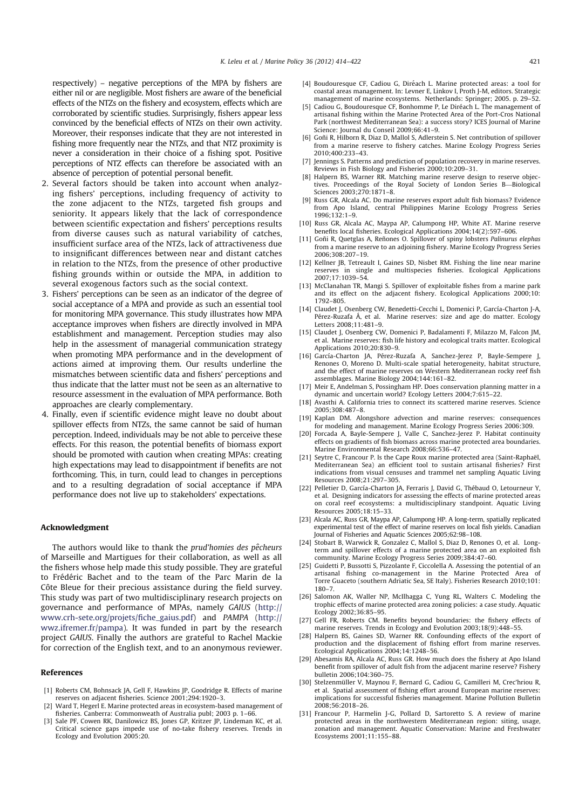respectively) – negative perceptions of the MPA by fishers are either nil or are negligible. Most fishers are aware of the beneficial effects of the NTZs on the fishery and ecosystem, effects which are corroborated by scientific studies. Surprisingly, fishers appear less convinced by the beneficial effects of NTZs on their own activity. Moreover, their responses indicate that they are not interested in fishing more frequently near the NTZs, and that NTZ proximity is never a consideration in their choice of a fishing spot. Positive perceptions of NTZ effects can therefore be associated with an absence of perception of potential personal benefit.

- 2. Several factors should be taken into account when analyzing fishers' perceptions, including frequency of activity to the zone adjacent to the NTZs, targeted fish groups and seniority. It appears likely that the lack of correspondence between scientific expectation and fishers' perceptions results from diverse causes such as natural variability of catches, insufficient surface area of the NTZs, lack of attractiveness due to insignificant differences between near and distant catches in relation to the NTZs, from the presence of other productive fishing grounds within or outside the MPA, in addition to several exogenous factors such as the social context.
- 3. Fishers' perceptions can be seen as an indicator of the degree of social acceptance of a MPA and provide as such an essential tool for monitoring MPA governance. This study illustrates how MPA acceptance improves when fishers are directly involved in MPA establishment and management. Perception studies may also help in the assessment of managerial communication strategy when promoting MPA performance and in the development of actions aimed at improving them. Our results underline the mismatches between scientific data and fishers' perceptions and thus indicate that the latter must not be seen as an alternative to resource assessment in the evaluation of MPA performance. Both approaches are clearly complementary.
- 4. Finally, even if scientific evidence might leave no doubt about spillover effects from NTZs, the same cannot be said of human perception. Indeed, individuals may be not able to perceive these effects. For this reason, the potential benefits of biomass export should be promoted with caution when creating MPAs: creating high expectations may lead to disappointment if benefits are not forthcoming. This, in turn, could lead to changes in perceptions and to a resulting degradation of social acceptance if MPA performance does not live up to stakeholders' expectations.

#### Acknowledgment

The authors would like to thank the *prud'homies des pˆecheurs* of Marseille and Martigues for their collaboration, as well as all the fishers whose help made this study possible. They are grateful to Frédéric Bachet and to the team of the Parc Marin de la Côte Bleue for their precious assistance during the field survey. This study was part of two multidisciplinary research projects on governance and performance of MPAs, namely *GAIUS* (http:// www.crh-sete.org/projets/fiche\_gaius.pdf) and *PAMPA* (http:// wwz.ifremer.fr/pampa). It was funded in part by the research project *GAIUS*. Finally the authors are grateful to Rachel Mackie for correction of the English text, and to an anonymous reviewer.

#### References

- [1] Roberts CM, Bohnsack JA, Gell F, Hawkins JP, Goodridge R. Effects of marine reserves on adjacent fisheries. Science 2001;294:1920–3.
- [2] Ward T, Hegerl E. Marine protected areas in ecosystem-based management of fisheries. Canberra: Commonweath of Australia publ; 2003 p. 1–66.
- [3] Sale PF, Cowen RK, Danilowicz BS, Jones GP, Kritzer JP, Lindeman KC, et al. Critical science gaps impede use of no-take fishery reserves. Trends in Ecology and Evolution 2005:20.
- [4] Boudouresque CF, Cadiou G, Diréach L. Marine protected areas: a tool for coastal areas management. In: Levner E, Linkov I, Proth J-M, editors. Strategic management of marine ecosystems. Netherlands: Springer; 2005. p. 29–52.
- [5] Cadiou G, Boudouresque CF, Bonhomme P, Le Diréach L. The management of artisanal fishing within the Marine Protected Area of the Port-Cros National Park (northwest Mediterranean Sea): a success story? ICES Journal of Marine Science: Journal du Conseil 2009;66:41–9.
- [6] Goñi R, Hilborn R, Diaz D, Mallol S, Adlerstein S. Net contribution of spillover from a marine reserve to fishery catches. Marine Ecology Progress Series 2010;400:233–43.
- [7] Jennings S. Patterns and prediction of population recovery in marine reserves. Reviews in Fish Biology and Fisheries 2000;10:209–31.
- [8] Halpern BS, Warner RR. Matching marine reserve design to reserve objectives. Proceedings of the Royal Society of London Series B—Biological Sciences 2003;270:1871–8.
- [9] Russ GR, Alcala AC. Do marine reserves export adult fish biomass? Evidence from Apo Island, central Philippines Marine Ecology Progress Series 1996;132:1–9.
- [10] Russ GR, Alcala AC, Maypa AP, Calumpong HP, White AT. Marine reserve benefits local fisheries. Ecological Applications 2004;14(2):597–606.
- [11] Goñi R, Quetglas A, Reñones O. Spillover of spiny lobsters *Palinurus elephas* from a marine reserve to an adjoining fishery. Marine Ecology Progress Series 2006;308:207–19.
- [12] Kellner JB, Tetreault I, Gaines SD, Nisbet RM. Fishing the line near marine reserves in single and multispecies fisheries. Ecological Applications 2007;17:1039–54.
- [13] McClanahan TR, Mangi S. Spillover of exploitable fishes from a marine park and its effect on the adjacent fishery. Ecological Applications 2000;10: 1792–805.
- [14] Claudet J, Osenberg CW, Benedetti-Cecchi L, Domenici P, García-Charton J-A Pérez-Ruzafa Á, et al. Marine reserves: size and age do matter. Ecology Letters 2008;11:481–9.
- [15] Claudet J, Osenberg CW, Domenici P, Badalamenti F, Milazzo M, Falcon JM, et al. Marine reserves: fish life history and ecological traits matter. Ecological Applications 2010;20:830–9.
- [16] García-Charton JA, Pérez-Ruzafa A, Sanchez-Jerez P, Bayle-Sempere J, Renones O, Moreno D. Multi-scale spatial heterogeneity, habitat structure, and the effect of marine reserves on Western Mediterranean rocky reef fish assemblages. Marine Biology 2004;144:161–82.
- [17] Meir E, Andelman S, Possingham HP. Does conservation planning matter in a dynamic and uncertain world? Ecology Letters 2004;7:615–22.
- [18] Avasthi A. California tries to connect its scattered marine reserves. Science 2005;308:487–8.
- [19] Kaplan DM. Alongshore advection and marine reserves: consequences for modeling and management. Marine Ecology Progress Series 2006:309.
- [20] Forcada A, Bayle-Sempere J, Valle C, Sanchez-Jerez P. Habitat continuity effects on gradients of fish biomass across marine protected area boundaries. Marine Environmental Research 2008;66:536–47.
- [21] Seytre C, Francour P. Is the Cape Roux marine protected area (Saint-Raphaël, Mediterranean Sea) an efficient tool to sustain artisanal fisheries? First indications from visual censuses and trammel net sampling Aquatic Living Resources 2008;21:297–305.
- [22] Pelletier D, García-Charton JA, Ferraris J, David G, Thébaud O, Letourneur Y, et al. Designing indicators for assessing the effects of marine protected areas on coral reef ecosystems: a multidisciplinary standpoint. Aquatic Living Resources 2005;18:15–33.
- [23] Alcala AC, Russ GR, Maypa AP, Calumpong HP. A long-term, spatially replicated experimental test of the effect of marine reserves on local fish yields. Canadian Journal of Fisheries and Aquatic Sciences 2005;62:98–108.
- [24] Stobart B, Warwick R, Gonzalez C, Mallol S, Diaz D, Renones O, et al. Longterm and spillover effects of a marine protected area on an exploited fish community. Marine Ecology Progress Series 2009;384:47–60.
- [25] Guidetti P, Bussotti S, Pizzolante F, Ciccolella A. Assessing the potential of an artisanal fishing co-management in the Marine Protected Area of Torre Guaceto (southern Adriatic Sea, SE Italy). Fisheries Research 2010;101: 180–7.
- [26] Salomon AK, Waller NP, McIlhagga C, Yung RL, Walters C. Modeling the trophic effects of marine protected area zoning policies: a case study. Aquatic Ecology 2002;36:85–95.
- [27] Gell FR, Roberts CM. Benefits beyond boundaries: the fishery effects of marine reserves. Trends in Ecology and Evolution 2003;18(9):448-55.
- [28] Halpern BS, Gaines SD, Warner RR. Confounding effects of the export of production and the displacement of fishing effort from marine reserves. Ecological Applications 2004;14:1248–56.
- [29] Abesamis RA, Alcala AC, Russ GR. How much does the fishery at Apo Island benefit from spillover of adult fish from the adjacent marine reserve? Fishery bulletin 2006;104:360–75.
- [30] Stelzenmüller V, Maynou F, Bernard G, Cadiou G, Camilleri M, Crec'hriou R, et al. Spatial assessment of fishing effort around European marine reserves: implications for successful fisheries management. Marine Pollution Bulletin 2008;56:2018–26.
- [31] Francour P, Harmelin J-G, Pollard D, Sartoretto S. A review of marine protected areas in the northwestern Mediterranean region: siting, usage, zonation and management. Aquatic Conservation: Marine and Freshwater Ecosystems 2001;11:155–88.